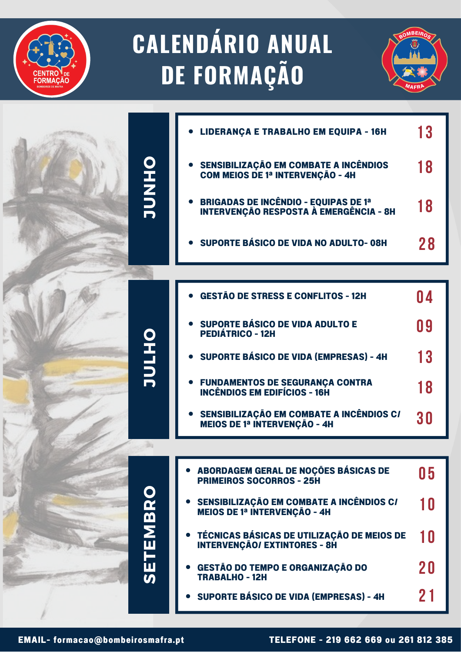## **CALENDÁRIO ANUAL DE FORMAÇÃO**



|                                    | LIDERANÇA E TRABALHO EM EQUIPA - 16H                                                   | 13 |
|------------------------------------|----------------------------------------------------------------------------------------|----|
| OHNL                               | <b>SENSIBILIZAÇÃO EM COMBATE A INCÊNDIOS<br/>COM MEIOS DE 1ª INTERVENÇÃO - 4H</b>      | 18 |
|                                    | <b>BRIGADAS DE INCÊNDIO - EQUIPAS DE 1ª<br/>INTERVENÇÃO RESPOSTA À EMERGÊNCIA - 8H</b> | 18 |
|                                    | SUPORTE BÁSICO DE VIDA NO ADULTO-08H                                                   | 28 |
|                                    |                                                                                        |    |
|                                    | <b>GESTÃO DE STRESS E CONFLITOS - 12H</b>                                              | 04 |
|                                    | SUPORTE BÁSICO DE VIDA ADULTO E<br><b>PEDIÁTRICO - 12H</b>                             | 09 |
| OHJUL                              | <b>SUPORTE BÁSICO DE VIDA (EMPRESAS) - 4H</b>                                          | 13 |
|                                    | <b>FUNDAMENTOS DE SEGURANÇA CONTRA</b><br><b>INCÊNDIOS EM EDIFÍCIOS - 16H</b>          | 18 |
|                                    | SENSIBILIZAÇÃO EM COMBATE A INCÊNDIOS CI<br><b>MEIOS DE 1ª INTERVENÇÃO - 4H</b>        | 30 |
|                                    |                                                                                        |    |
|                                    | ABORDAGEM GERAL DE NOÇÕES BÁSICAS DE<br><b>PRIMEIROS SOCORROS - 25H</b>                | 05 |
|                                    | SENSIBILIZAÇÃO EM COMBATE A INCÊNDIOS CI<br><b>MEIOS DE 1ª INTERVENÇÃO - 4H</b>        | 10 |
| <b>TEMB</b>                        | • TÉCNICAS BÁSICAS DE UTILIZAÇÃO DE MEIOS DE<br><b>INTERVENÇÃO/ EXTINTORES - 8H</b>    | 10 |
| <u>іш</u><br>$\boldsymbol{\omega}$ | GESTÃO DO TEMPO E ORGANIZAÇÃO DO<br><b>TRABALHO - 12H</b>                              | 20 |
|                                    | <b>• SUPORTE BÁSICO DE VIDA (EMPRESAS) - 4H</b>                                        | 21 |
|                                    |                                                                                        |    |

**FORMAC**